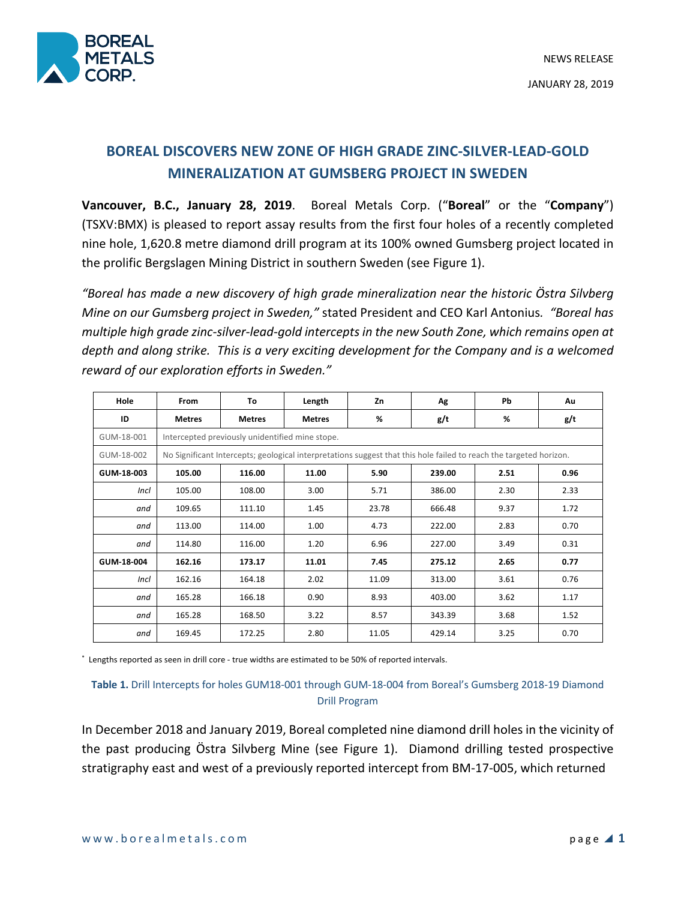

# **BOREAL DISCOVERS NEW ZONE OF HIGH GRADE ZINC-SILVER-LEAD-GOLD MINERALIZATION AT GUMSBERG PROJECT IN SWEDEN**

**Vancouver, B.C., January 28, 2019**. Boreal Metals Corp. ("**Boreal**" or the "**Company**") (TSXV:BMX) is pleased to report assay results from the first four holes of a recently completed nine hole, 1,620.8 metre diamond drill program at its 100% owned Gumsberg project located in the prolific Bergslagen Mining District in southern Sweden (see Figure 1).

*"Boreal has made a new discovery of high grade mineralization near the historic Östra Silvberg Mine on our Gumsberg project in Sweden,"* stated President and CEO Karl Antonius*. "Boreal has multiple high grade zinc-silver-lead-gold intercepts in the new South Zone, which remains open at depth and along strike. This is a very exciting development for the Company and is a welcomed reward of our exploration efforts in Sweden."*

| Hole        | From                                                                                                               | To            | Length        | Zn    | Ag     | <b>Pb</b> | Au   |
|-------------|--------------------------------------------------------------------------------------------------------------------|---------------|---------------|-------|--------|-----------|------|
| ID          | <b>Metres</b>                                                                                                      | <b>Metres</b> | <b>Metres</b> | %     | g/t    | %         | g/t  |
| GUM-18-001  | Intercepted previously unidentified mine stope.                                                                    |               |               |       |        |           |      |
| GUM-18-002  | No Significant Intercepts; geological interpretations suggest that this hole failed to reach the targeted horizon. |               |               |       |        |           |      |
| GUM-18-003  | 105.00                                                                                                             | 116.00        | 11.00         | 5.90  | 239.00 | 2.51      | 0.96 |
| <b>Incl</b> | 105.00                                                                                                             | 108.00        | 3.00          | 5.71  | 386.00 | 2.30      | 2.33 |
| and         | 109.65                                                                                                             | 111.10        | 1.45          | 23.78 | 666.48 | 9.37      | 1.72 |
| and         | 113.00                                                                                                             | 114.00        | 1.00          | 4.73  | 222.00 | 2.83      | 0.70 |
| and         | 114.80                                                                                                             | 116.00        | 1.20          | 6.96  | 227.00 | 3.49      | 0.31 |
| GUM-18-004  | 162.16                                                                                                             | 173.17        | 11.01         | 7.45  | 275.12 | 2.65      | 0.77 |
| <b>Incl</b> | 162.16                                                                                                             | 164.18        | 2.02          | 11.09 | 313.00 | 3.61      | 0.76 |
| and         | 165.28                                                                                                             | 166.18        | 0.90          | 8.93  | 403.00 | 3.62      | 1.17 |
| and         | 165.28                                                                                                             | 168.50        | 3.22          | 8.57  | 343.39 | 3.68      | 1.52 |
| and         | 169.45                                                                                                             | 172.25        | 2.80          | 11.05 | 429.14 | 3.25      | 0.70 |

\* Lengths reported as seen in drill core - true widths are estimated to be 50% of reported intervals.

## **Table 1.** Drill Intercepts for holes GUM18-001 through GUM-18-004 from Boreal's Gumsberg 2018-19 Diamond Drill Program

In December 2018 and January 2019, Boreal completed nine diamond drill holes in the vicinity of the past producing Östra Silvberg Mine (see Figure 1). Diamond drilling tested prospective stratigraphy east and west of a previously reported intercept from BM-17-005, which returned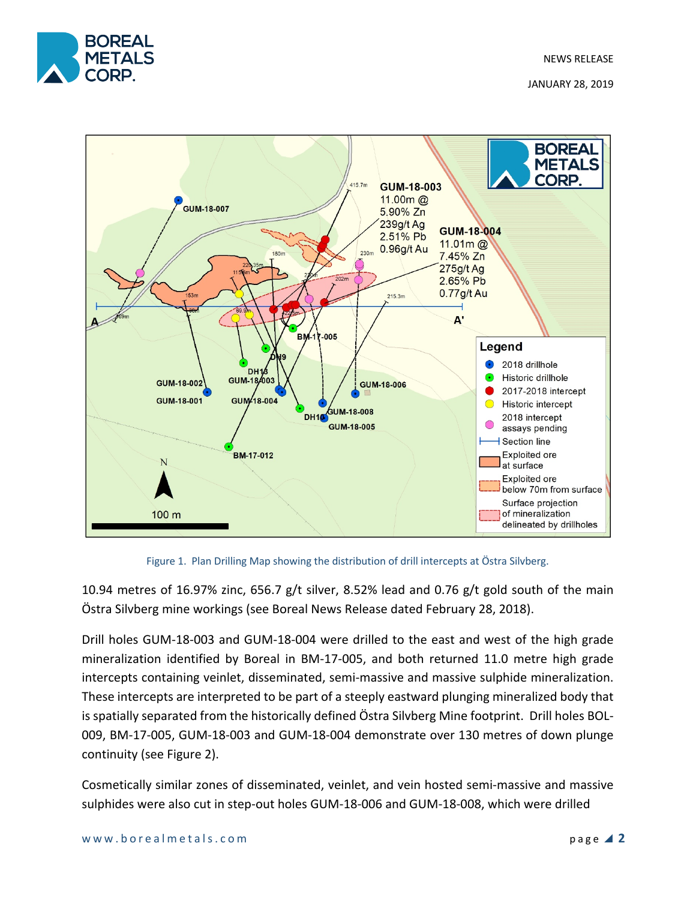



Figure 1. Plan Drilling Map showing the distribution of drill intercepts at Östra Silvberg.

10.94 metres of 16.97% zinc, 656.7 g/t silver, 8.52% lead and 0.76 g/t gold south of the main Östra Silvberg mine workings (see Boreal News Release dated February 28, 2018).

Drill holes GUM-18-003 and GUM-18-004 were drilled to the east and west of the high grade mineralization identified by Boreal in BM-17-005, and both returned 11.0 metre high grade intercepts containing veinlet, disseminated, semi-massive and massive sulphide mineralization. These intercepts are interpreted to be part of a steeply eastward plunging mineralized body that is spatially separated from the historically defined Östra Silvberg Mine footprint. Drill holes BOL-009, BM-17-005, GUM-18-003 and GUM-18-004 demonstrate over 130 metres of down plunge continuity (see Figure 2).

Cosmetically similar zones of disseminated, veinlet, and vein hosted semi-massive and massive sulphides were also cut in step-out holes GUM-18-006 and GUM-18-008, which were drilled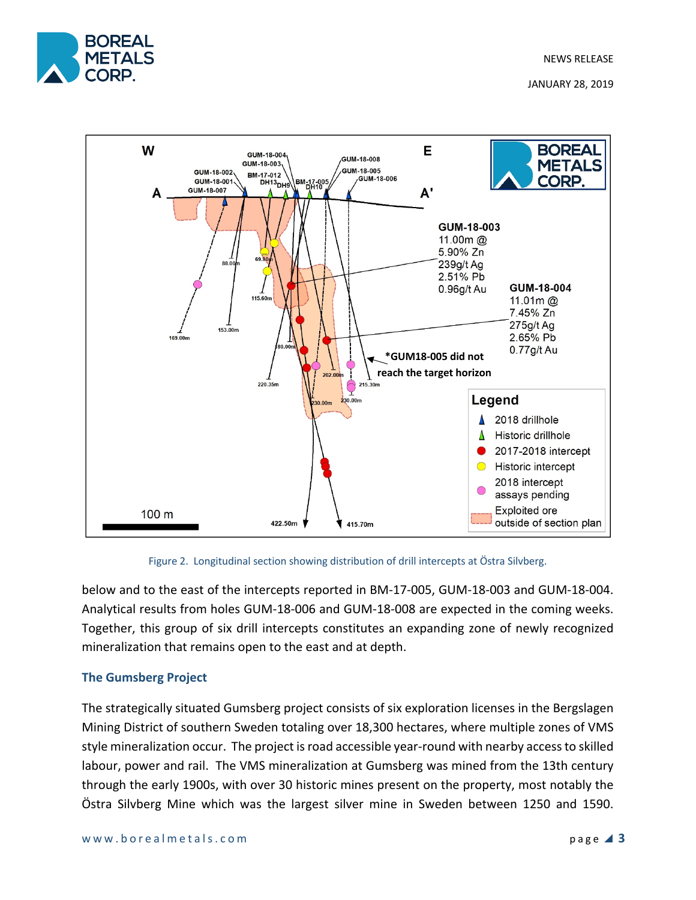





below and to the east of the intercepts reported in BM-17-005, GUM-18-003 and GUM-18-004. Analytical results from holes GUM-18-006 and GUM-18-008 are expected in the coming weeks. Together, this group of six drill intercepts constitutes an expanding zone of newly recognized mineralization that remains open to the east and at depth.

## **The Gumsberg Project**

The strategically situated Gumsberg project consists of six exploration licenses in the Bergslagen Mining District of southern Sweden totaling over 18,300 hectares, where multiple zones of VMS style mineralization occur. The project is road accessible year-round with nearby access to skilled labour, power and rail. The VMS mineralization at Gumsberg was mined from the 13th century through the early 1900s, with over 30 historic mines present on the property, most notably the Östra Silvberg Mine which was the largest silver mine in Sweden between 1250 and 1590.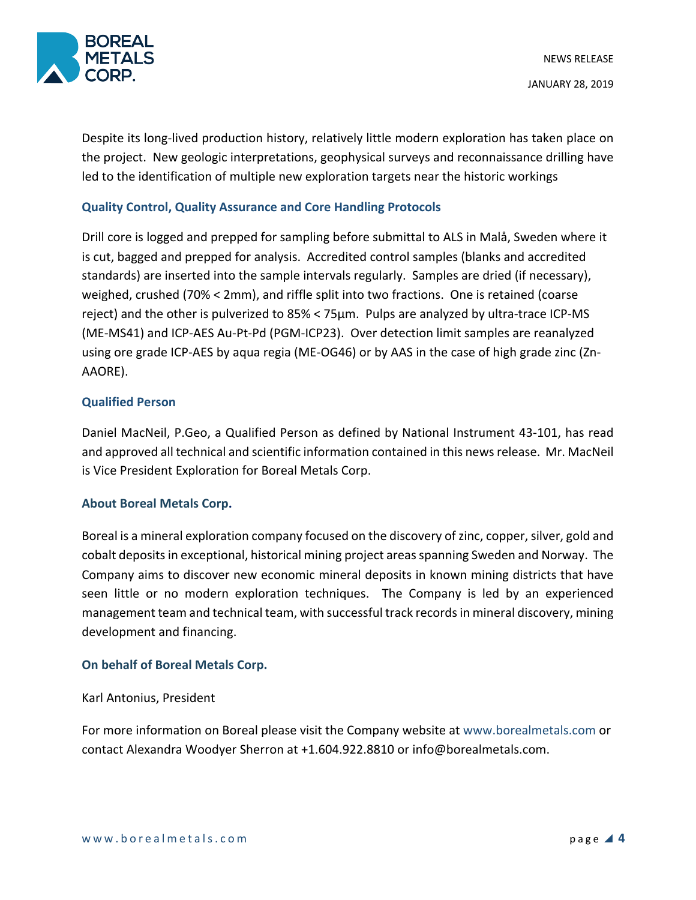

Despite its long-lived production history, relatively little modern exploration has taken place on the project. New geologic interpretations, geophysical surveys and reconnaissance drilling have led to the identification of multiple new exploration targets near the historic workings

## **Quality Control, Quality Assurance and Core Handling Protocols**

Drill core is logged and prepped for sampling before submittal to ALS in Malå, Sweden where it is cut, bagged and prepped for analysis. Accredited control samples (blanks and accredited standards) are inserted into the sample intervals regularly. Samples are dried (if necessary), weighed, crushed (70% < 2mm), and riffle split into two fractions. One is retained (coarse reject) and the other is pulverized to 85% < 75µm. Pulps are analyzed by ultra-trace ICP-MS (ME-MS41) and ICP-AES Au-Pt-Pd (PGM-ICP23). Over detection limit samples are reanalyzed using ore grade ICP-AES by aqua regia (ME-OG46) or by AAS in the case of high grade zinc (Zn-AAORE).

## **Qualified Person**

Daniel MacNeil, P.Geo, a Qualified Person as defined by National Instrument 43-101, has read and approved all technical and scientific information contained in this news release. Mr. MacNeil is Vice President Exploration for Boreal Metals Corp.

## **About Boreal Metals Corp.**

Boreal is a mineral exploration company focused on the discovery of zinc, copper, silver, gold and cobalt deposits in exceptional, historical mining project areas spanning Sweden and Norway. The Company aims to discover new economic mineral deposits in known mining districts that have seen little or no modern exploration techniques. The Company is led by an experienced management team and technical team, with successful track records in mineral discovery, mining development and financing.

## **On behalf of Boreal Metals Corp.**

#### Karl Antonius, President

For more information on Boreal please visit the Company website at www.borealmetals.com or contact Alexandra Woodyer Sherron at +1.604.922.8810 or info@borealmetals.com.